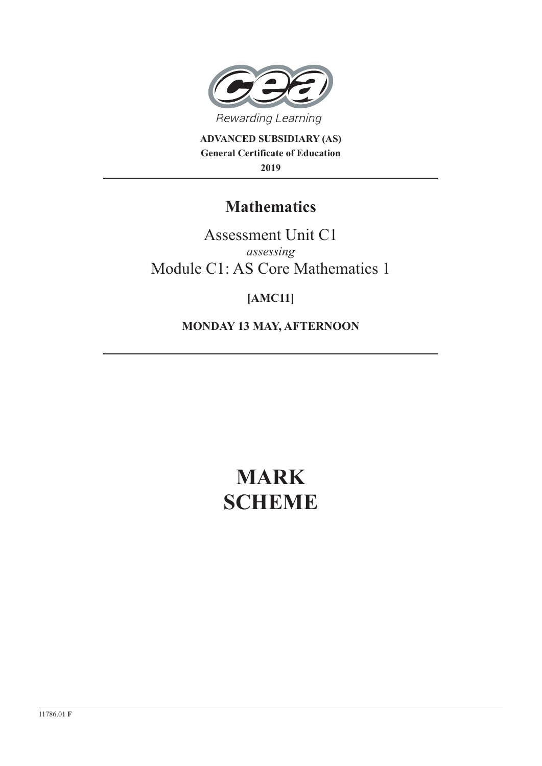

**ADVANCED SUBSIDIARY (AS) General Certificate of Education 2019**

## **Mathematics**

Assessment Unit C1 *assessing* Module C1: AS Core Mathematics 1

### **[AMC11]**

**MONDAY 13 MAY, AFTERNOON**

# **MARK SCHEME**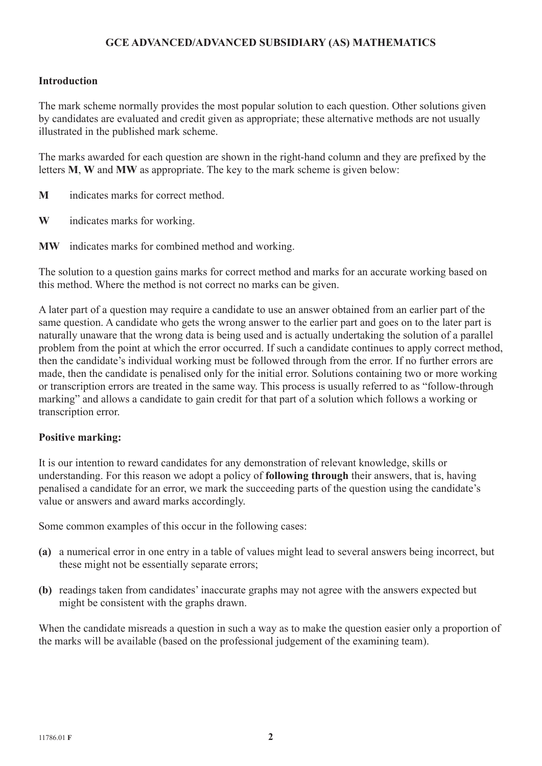#### **GCE ADVANCED/ADVANCED SUBSIDIARY (AS) MATHEMATICS**

#### **Introduction**

The mark scheme normally provides the most popular solution to each question. Other solutions given by candidates are evaluated and credit given as appropriate; these alternative methods are not usually illustrated in the published mark scheme.

The marks awarded for each question are shown in the right-hand column and they are prefixed by the letters **M**, **W** and **MW** as appropriate. The key to the mark scheme is given below:

- **M** indicates marks for correct method.
- **W** indicates marks for working.
- **MW** indicates marks for combined method and working.

The solution to a question gains marks for correct method and marks for an accurate working based on this method. Where the method is not correct no marks can be given.

A later part of a question may require a candidate to use an answer obtained from an earlier part of the same question. A candidate who gets the wrong answer to the earlier part and goes on to the later part is naturally unaware that the wrong data is being used and is actually undertaking the solution of a parallel problem from the point at which the error occurred. If such a candidate continues to apply correct method, then the candidate's individual working must be followed through from the error. If no further errors are made, then the candidate is penalised only for the initial error. Solutions containing two or more working or transcription errors are treated in the same way. This process is usually referred to as "follow-through marking" and allows a candidate to gain credit for that part of a solution which follows a working or transcription error.

#### **Positive marking:**

It is our intention to reward candidates for any demonstration of relevant knowledge, skills or understanding. For this reason we adopt a policy of **following through** their answers, that is, having penalised a candidate for an error, we mark the succeeding parts of the question using the candidate's value or answers and award marks accordingly.

Some common examples of this occur in the following cases:

- **(a)** a numerical error in one entry in a table of values might lead to several answers being incorrect, but these might not be essentially separate errors;
- **(b)** readings taken from candidates' inaccurate graphs may not agree with the answers expected but might be consistent with the graphs drawn.

When the candidate misreads a question in such a way as to make the question easier only a proportion of the marks will be available (based on the professional judgement of the examining team).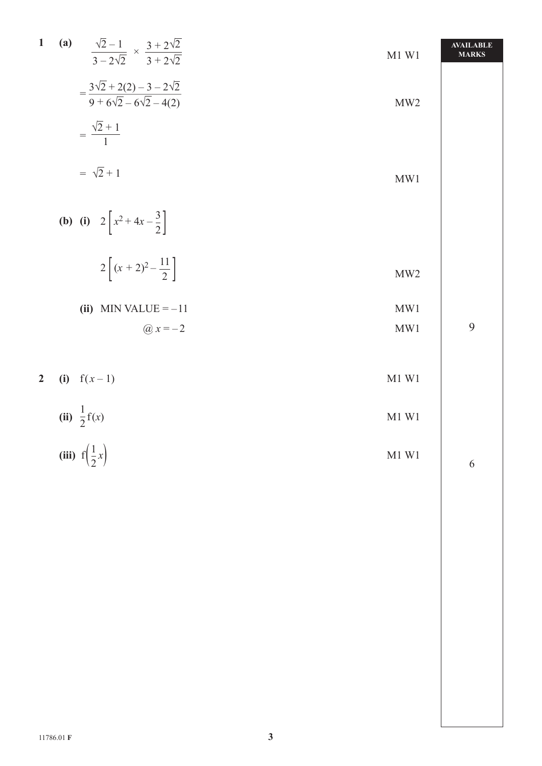1 (a) 
$$
\frac{\sqrt{2}-1}{3-2\sqrt{2}} \times \frac{3+2\sqrt{2}}{3+2\sqrt{2}}
$$
  
\n $= \frac{3\sqrt{2}+2(2)-3-2\sqrt{2}}{9+\sqrt{6}\sqrt{2}-6\sqrt{2}-4(2)}$   
\n $= \frac{\sqrt{2}+1}{1}$   
\n $= \sqrt{2}+1$   
\n(b) (i)  $2\left[x^2+4x-\frac{3}{2}\right]$   
\n $2\left[(x+2)^2-\frac{11}{2}\right]$   
\n2 (i)  $f(x-1)$   
\n(ii)  $\frac{1}{2}f(x)$   
\n(iii)  $f(\frac{1}{2}x)$   
\n(iv)  $f(\frac{1}{2}x)$   
\n(v)  $f(x-1)$   
\n(vi)  $\frac{1}{2}f(x)$   
\n*EXECUTE:*  $11\frac{1}{2}$   
\n*M1 W1*  
\n*M2*  
\n*M3 W2*  
\n*M3 W3*  
\n*M4 V4*  
\n*M5*  
\n*M8*  
\n*M9*  
\n*M1 W1*  
\n*M1 W1*  
\n*M2*  
\n*M3 W2*  
\n*M3 W3*  
\n*M4 V4*  
\n*M5*  
\n*M8*  
\n*M9*  
\n*M1 W1*  
\n*M1 W1*  
\n*M1 W1*  
\n*M2*  
\n*M2*  
\n*M3 W2*  
\n*M3 W3*  
\n*M4 V4*  
\n*M5*  
\n*M8*  
\n*M9*  
\n*M1 W1*  
\n*M2*  
\n*M3 W2*  
\n*M4 W4*  
\n*M5*  
\n*M5*  
\n*M6*  
\n*M8*  
\n*M9*  
\n*M1 W1*  
\n*M2*  
\n*M3 W2*  
\n*M4*  
\n*M5*  
\n*M5*  
\n*M8*  
\n*M*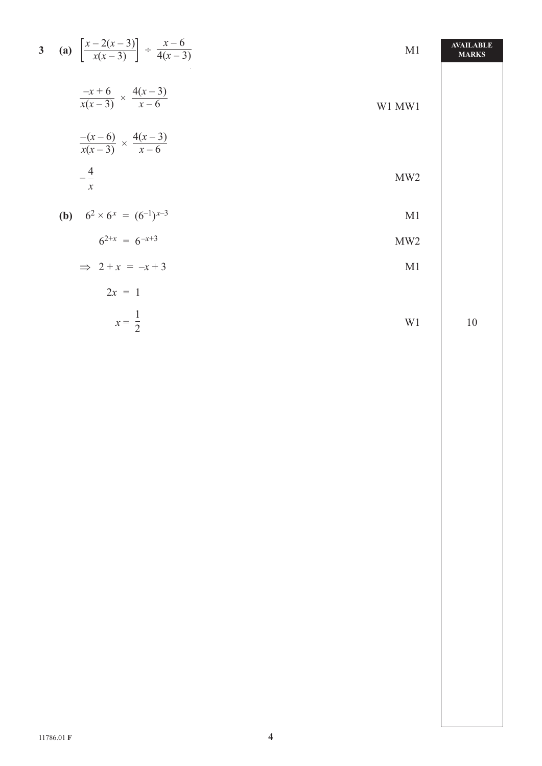|                                                 | M1                                                                                                                                                                        | <b>AVAILABLE</b><br><b>MARKS</b> |
|-------------------------------------------------|---------------------------------------------------------------------------------------------------------------------------------------------------------------------------|----------------------------------|
| $\frac{-x+6}{x(x-3)} \times \frac{4(x-3)}{x-6}$ | W1 MW1                                                                                                                                                                    |                                  |
|                                                 |                                                                                                                                                                           |                                  |
| $ \frac{4}{}$<br>$\mathcal{X}$                  | MW <sub>2</sub>                                                                                                                                                           |                                  |
|                                                 | M1                                                                                                                                                                        |                                  |
| $6^{2+x} = 6^{-x+3}$                            | MW2                                                                                                                                                                       |                                  |
| $\implies$ 2 + x = -x + 3                       | M <sub>1</sub>                                                                                                                                                            |                                  |
| $2x = 1$                                        |                                                                                                                                                                           |                                  |
| $x=\frac{1}{2}$                                 | W <sub>1</sub>                                                                                                                                                            | 10                               |
|                                                 | 3 (a) $\left[\frac{x-2(x-3)}{x(x-3)}\right] \div \frac{x-6}{4(x-3)}$<br>$\frac{-(x-6)}{x(x-3)} \times \frac{4(x-3)}{x-6}$<br><b>(b)</b> $6^2 \times 6^x = (6^{-1})^{x-3}$ |                                  |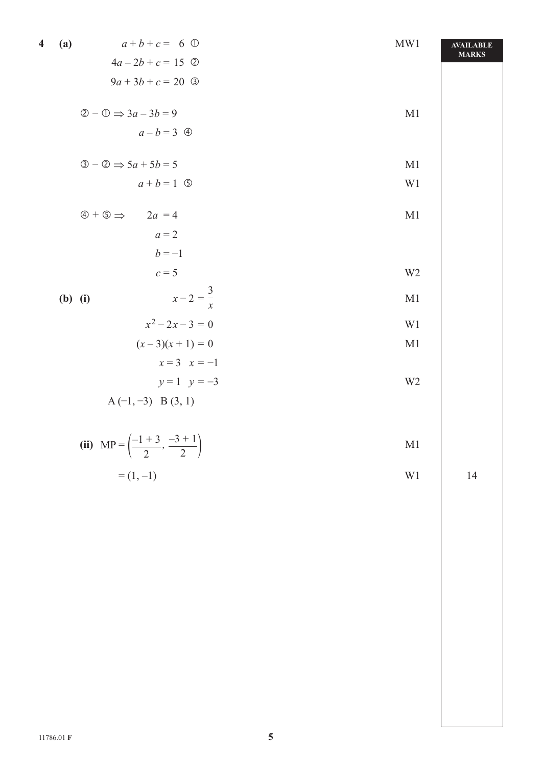| 4 | (a)       | $a+b+c = 6$ ①                                           | MW1            | <b>AVAILABLE</b> |
|---|-----------|---------------------------------------------------------|----------------|------------------|
|   |           | $4a - 2b + c = 15$ ②                                    |                | <b>MARKS</b>     |
|   |           | $9a+3b+c=20$ 3                                          |                |                  |
|   |           | $\oslash$ - $\oslash$ $\Rightarrow$ 3a - 3b = 9         | M1             |                  |
|   |           | $a - b = 3$ 4                                           |                |                  |
|   |           | $\circled{3} - \circled{2} \Rightarrow 5a + 5b = 5$     | M1             |                  |
|   |           | $a + b = 1$ (5)                                         | W1             |                  |
|   |           | $\circled{4} + \circled{5} \Rightarrow 2a = 4$          | M1             |                  |
|   |           | $a=2$                                                   |                |                  |
|   |           | $b = -1$                                                |                |                  |
|   |           | $c=5$                                                   | W <sub>2</sub> |                  |
|   | $(b)$ (i) | $x-2=\frac{3}{x}$                                       | M <sub>1</sub> |                  |
|   |           | $x^2-2x-3=0$                                            | W1             |                  |
|   |           | $(x-3)(x+1) = 0$                                        | M1             |                  |
|   |           | $x = 3$ $x = -1$                                        |                |                  |
|   |           | $y=1$ $y=-3$                                            | W <sub>2</sub> |                  |
|   |           | $A(-1, -3)$ B $(3, 1)$                                  |                |                  |
|   |           | (ii) MP = $\left(\frac{-1+3}{2}, \frac{-3+1}{2}\right)$ | M1             |                  |
|   |           | $=(1,-1)$                                               | $\rm W1$       | 14               |
|   |           |                                                         |                |                  |
|   |           |                                                         |                |                  |
|   |           |                                                         |                |                  |
|   |           |                                                         |                |                  |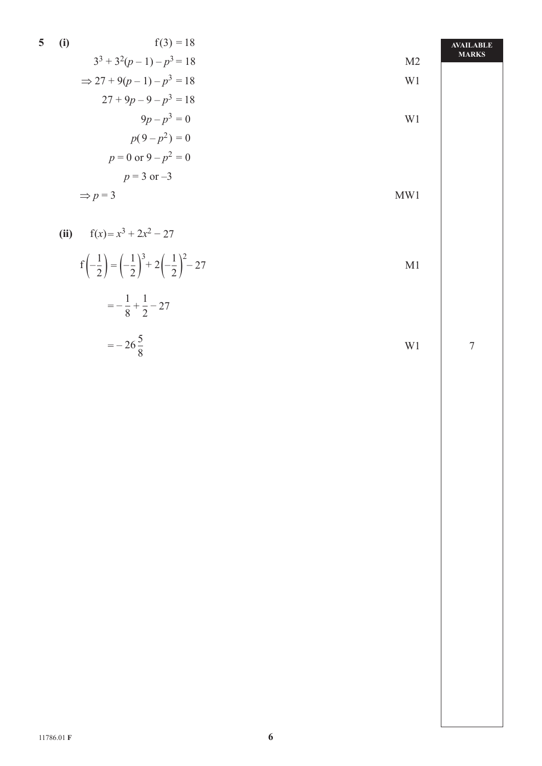5 (i) 
$$
f(3) = 18
$$
  
\n $3^3 + 3^2(p-1) - p^3 = 18$   
\n $\Rightarrow 27 + 9(p-1) - p^3 = 18$   
\n $27 + 9p - 9 - p^3 = 18$   
\n $9p - p^3 = 0$   
\n $p(9-p^2) = 0$   
\n $p = 0$  or  $9-p^2 = 0$   
\n $p = 3$  or  $-3$   
\n $\Rightarrow p = 3$   
\n $p = 3$   
\n $p = 3$   
\n $\Rightarrow p = 3$   
\n $\Rightarrow p = 3$   
\n $\Rightarrow p = 3$   
\n $\Rightarrow p = 3$ 

(ii) 
$$
f(x)=x^3+2x^2-27
$$
  
\n $f(-\frac{1}{2})=(-\frac{1}{2})^3+2(-\frac{1}{2})^2-27$   
\n $=-\frac{1}{8}+\frac{1}{2}-27$   
\n $=-26\frac{5}{8}$  W1

7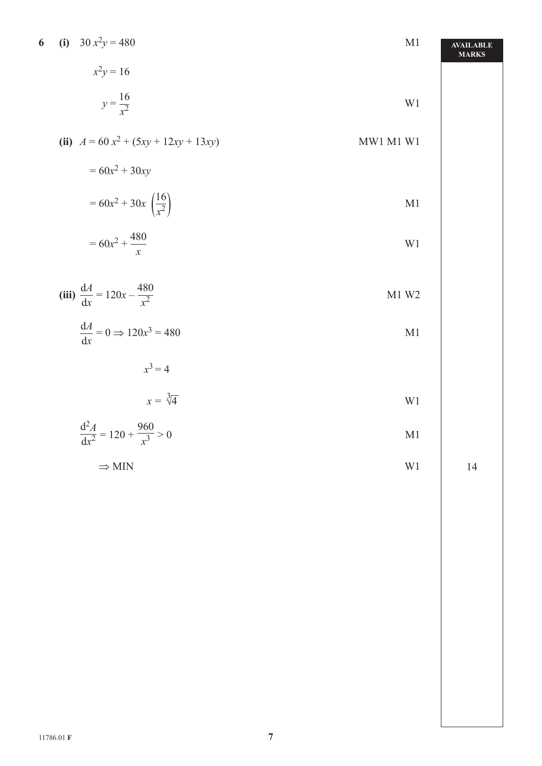| 6 | (i) $30x^2y = 480$                               | M1        | <b>AVAILABLE</b><br><b>MARKS</b> |
|---|--------------------------------------------------|-----------|----------------------------------|
|   | $x^2y = 16$                                      |           |                                  |
|   | $y = \frac{16}{x^2}$                             | W1        |                                  |
|   | (ii) $A = 60 x^2 + (5xy + 12xy + 13xy)$          | MW1 M1 W1 |                                  |
|   | $= 60x^2 + 30xy$                                 |           |                                  |
|   | $= 60x^2 + 30x \left(\frac{16}{x^2}\right)$      | M1        |                                  |
|   | $= 60x^2 + \frac{480}{x}$                        | W1        |                                  |
|   | (iii) $\frac{dA}{dx} = 120x - \frac{480}{x^2}$   | M1 W2     |                                  |
|   | $\frac{dA}{dx} = 0 \Rightarrow 120x^3 = 480$     | M1        |                                  |
|   | $x^3=4$                                          |           |                                  |
|   | $x = \sqrt[3]{4}$                                | $\rm W1$  |                                  |
|   | $\frac{d^2 A}{dx^2} = 120 + \frac{960}{x^3} > 0$ | M1        |                                  |
|   | $\Rightarrow$ MIN                                | $\rm W1$  | $14$                             |
|   |                                                  |           |                                  |
|   |                                                  |           |                                  |
|   |                                                  |           |                                  |
|   |                                                  |           |                                  |
|   |                                                  |           |                                  |
|   |                                                  |           |                                  |
|   |                                                  |           |                                  |
|   |                                                  |           |                                  |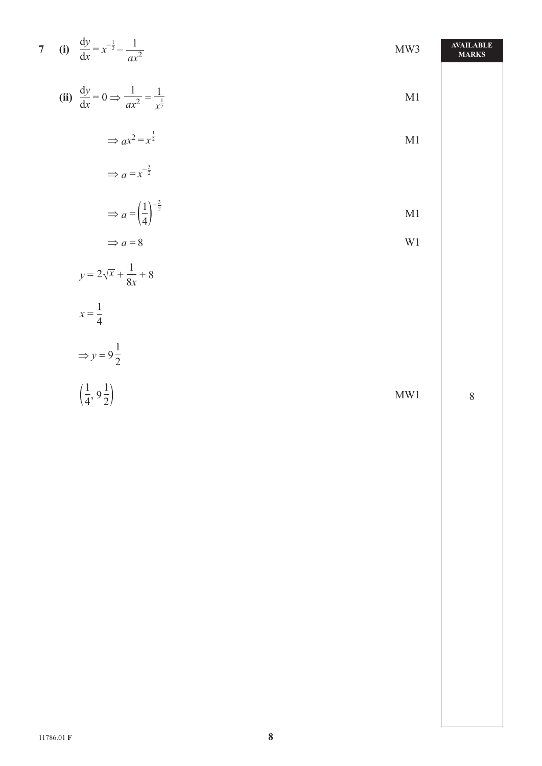| 7 (i) $\frac{dy}{dx} = x^{-\frac{1}{2}} - \frac{1}{ax^2}$                    | MW3           | <b>AVAILABLE</b><br><b>MARKS</b> |
|------------------------------------------------------------------------------|---------------|----------------------------------|
| (ii) $\frac{dy}{dx} = 0 \implies \frac{1}{ax^2} = \frac{1}{x^{\frac{1}{2}}}$ | $\mathbf{M}1$ |                                  |
| $\Rightarrow ax^2 = x^{\frac{1}{2}}$                                         | $\mathbf{M}1$ |                                  |
| $\Rightarrow$ $a = x^{-\frac{3}{2}}$                                         |               |                                  |
| $\Rightarrow a = \left(\frac{1}{4}\right)^{-\frac{3}{2}}$                    | $\mathbf{M}1$ |                                  |
| $\Rightarrow a = 8$                                                          | $\rm W1$      |                                  |
| $y = 2\sqrt{x} + \frac{1}{8x} + 8$                                           |               |                                  |
| $x=\frac{1}{4}$                                                              |               |                                  |
| $\Rightarrow y = 9\frac{1}{2}$                                               |               |                                  |
| $\left(\frac{1}{4}, 9\frac{1}{2}\right)$                                     | MW1           | $\,8\,$                          |
|                                                                              |               |                                  |
|                                                                              |               |                                  |
|                                                                              |               |                                  |
|                                                                              |               |                                  |
|                                                                              |               |                                  |
|                                                                              |               |                                  |
|                                                                              |               |                                  |
|                                                                              |               |                                  |
|                                                                              |               |                                  |
|                                                                              |               |                                  |